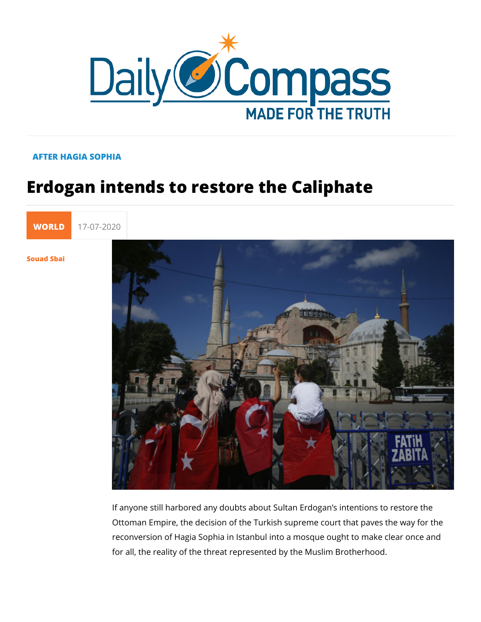## AFTER HAGIA SOPHIA

## Erdogan intends to restore the Calipha

[WORL](https://newdailycompass.com/en/world) 17-07-2020

[Souad S](/en/souad-sbai)bai

If anyone still harbored any doubts about Sultan Erdogan s int Ottoman Empire, the decision of the Turkish supreme court that reconversion of Hagia Sophia in Istanbul into a mosque ought for all, the reality of the threat represented by the Muslim Bro